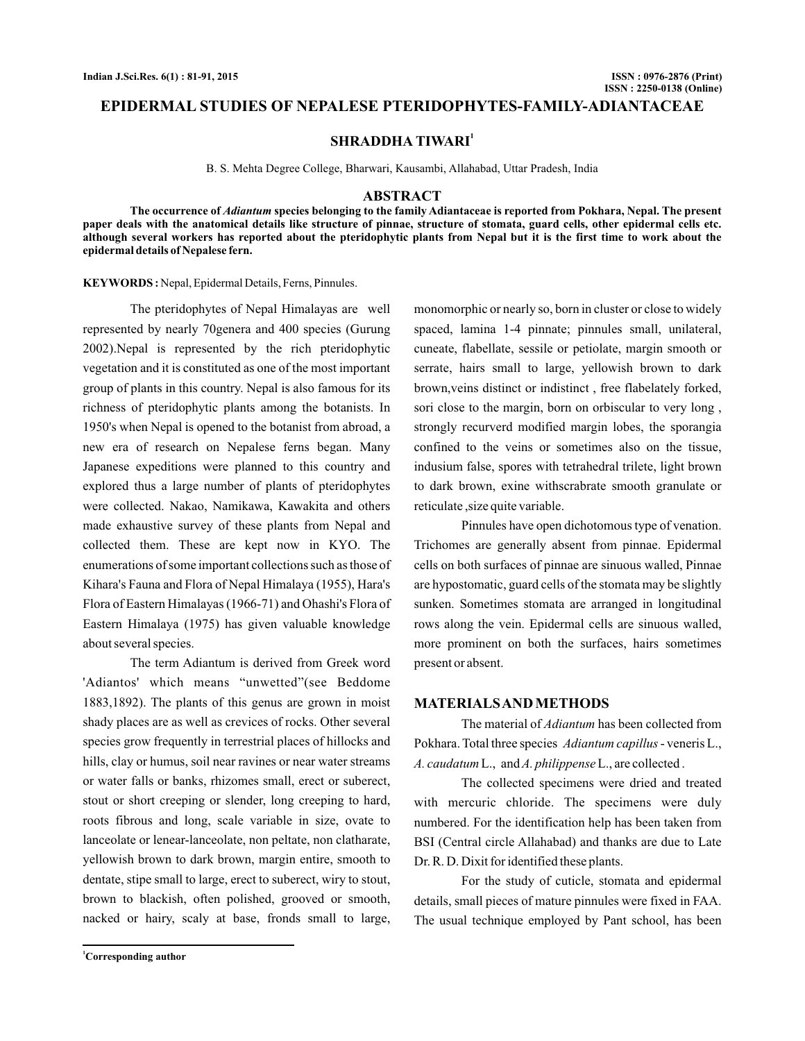# **EPIDERMAL STUDIES OF NEPALESE PTERIDOPHYTES-FAMILY-ADIANTACEAE**

# **SHRADDHA TIWARI<sup>1</sup>**

B. S. Mehta Degree College, Bharwari, Kausambi, Allahabad, Uttar Pradesh, India

### **ABSTRACT**

The occurrence of *Adiantum* species belonging to the family Adiantaceae is reported from Pokhara, Nepal. The present **paper deals with the anatomical details like structure of pinnae, structure of stomata, guard cells, other epidermal cells etc. although several workers has reported about the pteridophytic plants from Nepal but it is the first time to work about the epidermal details of Nepalese fern.**

KEYWORDS: Nepal, Epidermal Details, Ferns, Pinnules.

The pteridophytes of Nepal Himalayas are well represented by nearly 70genera and 400 species (Gurung 2002).Nepal is represented by the rich pteridophytic vegetation and it is constituted as one of the most important group of plants in this country. Nepal is also famous for its richness of pteridophytic plants among the botanists. In 1950's when Nepal is opened to the botanist from abroad, a new era of research on Nepalese ferns began. Many Japanese expeditions were planned to this country and explored thus a large number of plants of pteridophytes were collected. Nakao, Namikawa, Kawakita and others made exhaustive survey of these plants from Nepal and collected them. These are kept now in KYO. The enumerations of some important collections such as those of Kihara's Fauna and Flora of Nepal Himalaya (1955), Hara's Flora of Eastern Himalayas (1966-71) and Ohashi's Flora of Eastern Himalaya (1975) has given valuable knowledge about several species.

The term Adiantum is derived from Greek word 'Adiantos' which means "unwetted"(see Beddome 1883,1892). The plants of this genus are grown in moist shady places are as well as crevices of rocks. Other several species grow frequently in terrestrial places of hillocks and hills, clay or humus, soil near ravines or near water streams or water falls or banks, rhizomes small, erect or suberect, stout or short creeping or slender, long creeping to hard, roots fibrous and long, scale variable in size, ovate to lanceolate or lenear-lanceolate, non peltate, non clatharate, yellowish brown to dark brown, margin entire, smooth to dentate, stipe small to large, erect to suberect, wiry to stout, brown to blackish, often polished, grooved or smooth, nacked or hairy, scaly at base, fronds small to large,

monomorphic or nearly so, born in cluster or close to widely spaced, lamina 1-4 pinnate; pinnules small, unilateral, cuneate, flabellate, sessile or petiolate, margin smooth or serrate, hairs small to large, yellowish brown to dark brown,veins distinct or indistinct , free flabelately forked, sori close to the margin, born on orbiscular to very long , strongly recurverd modified margin lobes, the sporangia confined to the veins or sometimes also on the tissue, indusium false, spores with tetrahedral trilete, light brown to dark brown, exine withscrabrate smooth granulate or reticulate ,size quite variable.

Pinnules have open dichotomous type of venation. Trichomes are generally absent from pinnae. Epidermal cells on both surfaces of pinnae are sinuous walled, Pinnae are hypostomatic, guard cells of the stomata may be slightly sunken. Sometimes stomata are arranged in longitudinal rows along the vein. Epidermal cells are sinuous walled, more prominent on both the surfaces, hairs sometimes present or absent.

# **MATERIALSAND METHODS**

The material of *Adiantum* has been collected from Pokhara. Total three species Adiantum capillus - veneris L., A. caudatum L., and A. philippense L., are collected.

The collected specimens were dried and treated with mercuric chloride. The specimens were duly numbered. For the identification help has been taken from BSI (Central circle Allahabad) and thanks are due to Late Dr. R. D. Dixit for identified these plants.

For the study of cuticle, stomata and epidermal details, small pieces of mature pinnules were fixed in FAA. The usual technique employed by Pant school, has been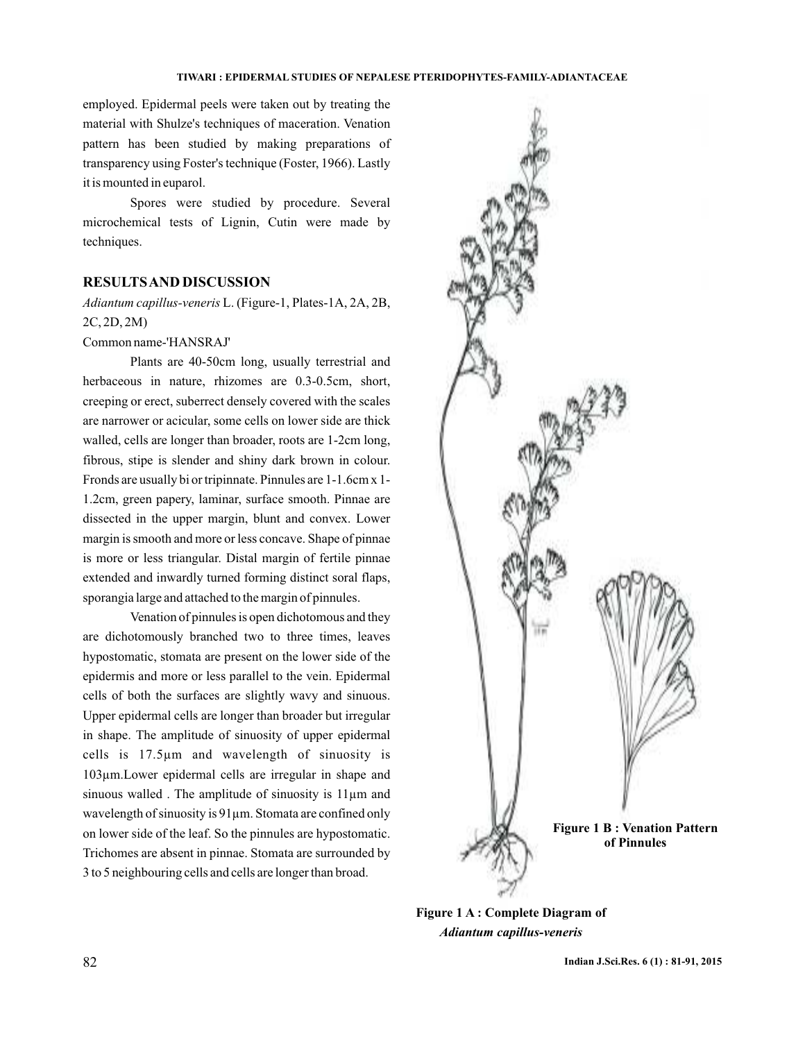#### **TIWARI : EPIDERMAL STUDIES OF NEPALESE PTERIDOPHYTES-FAMILY-ADIANTACEAE**

employed. Epidermal peels were taken out by treating the material with Shulze's techniques of maceration. Venation pattern has been studied by making preparations of transparency using Foster's technique (Foster, 1966). Lastly it is mounted in euparol.

Spores were studied by procedure. Several microchemical tests of Lignin, Cutin were made by techniques.

# **RESULTSAND DISCUSSION**

L. (Figure-1, Plates-1A, 2A, 2B, *Adiantum capillus-veneris* 2C, 2D, 2M)

# Common name-'HANSRAJ'

Plants are 40-50cm long, usually terrestrial and herbaceous in nature, rhizomes are 0.3-0.5cm, short, creeping or erect, suberrect densely covered with the scales are narrower or acicular, some cells on lower side are thick walled, cells are longer than broader, roots are 1-2cm long, fibrous, stipe is slender and shiny dark brown in colour. Fronds are usually bi or tripinnate. Pinnules are 1-1.6cm x 1- 1.2cm, green papery, laminar, surface smooth. Pinnae are dissected in the upper margin, blunt and convex. Lower margin is smooth and more or less concave. Shape of pinnae is more or less triangular. Distal margin of fertile pinnae extended and inwardly turned forming distinct soral flaps, sporangia large and attached to the margin of pinnules.

Venation of pinnules is open dichotomous and they are dichotomously branched two to three times, leaves hypostomatic, stomata are present on the lower side of the epidermis and more or less parallel to the vein. Epidermal cells of both the surfaces are slightly wavy and sinuous. Upper epidermal cells are longer than broader but irregular in shape. The amplitude of sinuosity of upper epidermal cells is 17.5µm and wavelength of sinuosity is 103µm.Lower epidermal cells are irregular in shape and sinuous walled. The amplitude of sinuosity is 11 $\mu$ m and wavelength of sinuosity is 91 $\mu$ m. Stomata are confined only on lower side of the leaf. So the pinnules are hypostomatic. Trichomes are absent in pinnae. Stomata are surrounded by 3 to 5 neighbouring cells and cells are longer than broad.



**Figure 1 A : Complete Diagram of** *Adiantum capillus-veneris*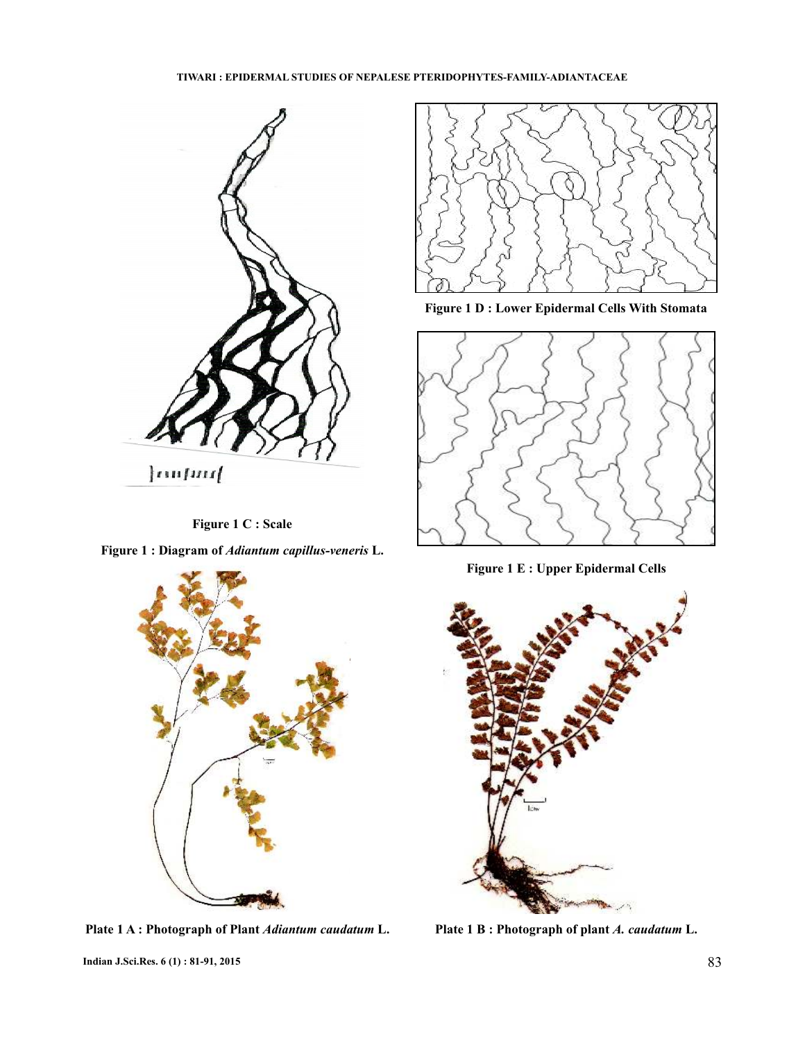

**Figure 1 C : Scale**

Figure 1 : Diagram of *Adiantum capillus-veneris* L.



**Plate 1 A : Photograph of Plant** *Adiantum caudatum* **L. Plate 1 B : Photograph of plant** *A. caudatum* **L.** 



**Figure 1 D : Lower Epidermal Cells With Stomata**



**Figure 1 E : Upper Epidermal Cells**

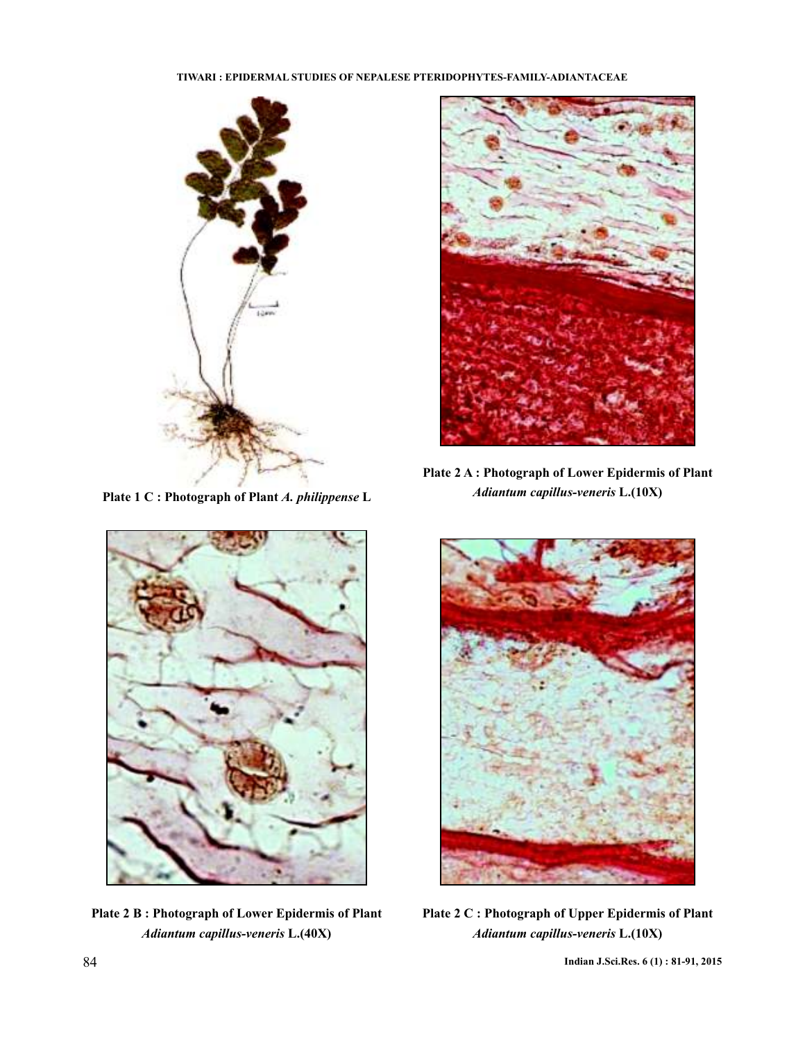# **TIWARI : EPIDERMAL STUDIES OF NEPALESE PTERIDOPHYTES-FAMILY-ADIANTACEAE**



Plate 1 C : Photograph of Plant A. philippense L



**Plate 2 A : Photograph of Lower Epidermis of Plant** *Adiantum capillus-veneris* **L.(10X)**



**Plate 2 B : Photograph of Lower Epidermis of Plant** *Adiantum capillus-veneris* **L.(40X)**



**Plate 2 C : Photograph of Upper Epidermis of Plant** *Adiantum capillus-veneris* **L.(10X)**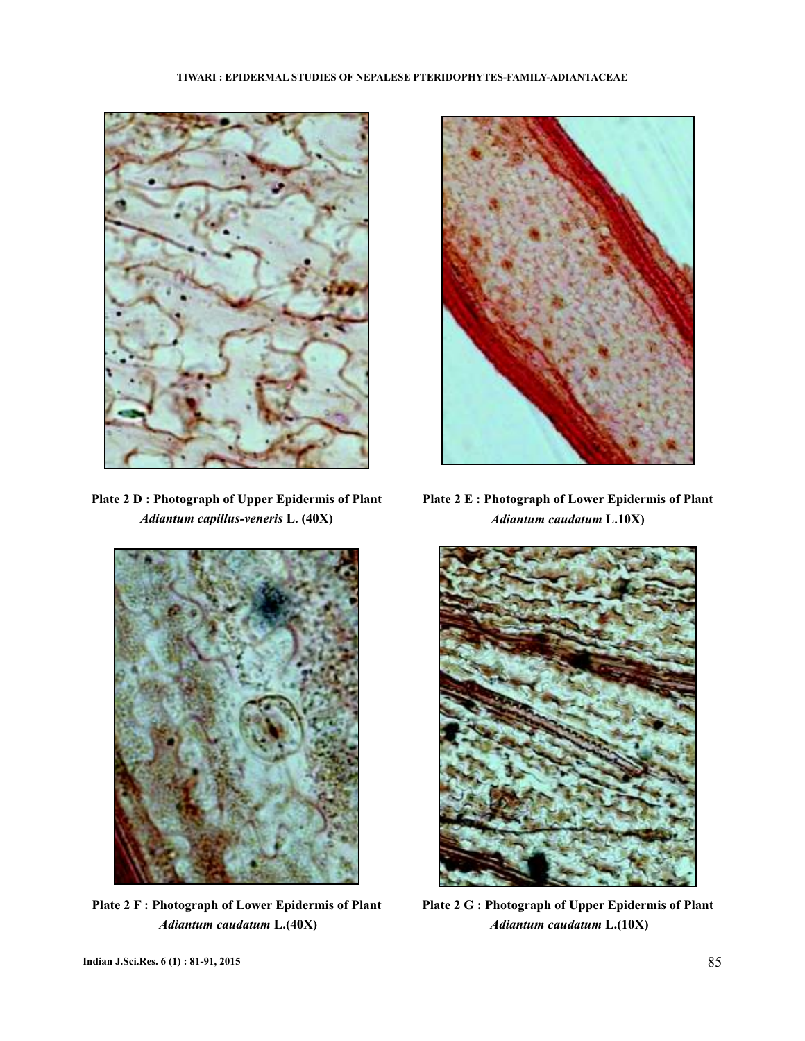

**Plate 2 D : Photograph of Upper Epidermis of Plant** *Adiantum capillus-veneris* **L. (40X)**



**Plate 2 E : Photograph of Lower Epidermis of Plant** *Adiantum caudatum* **L.10X)**



**Plate 2 F : Photograph of Lower Epidermis of Plant** *Adiantum caudatum* **L.(40X)**



**Plate 2 G : Photograph of Upper Epidermis of Plant** *Adiantum caudatum* **L.(10X)**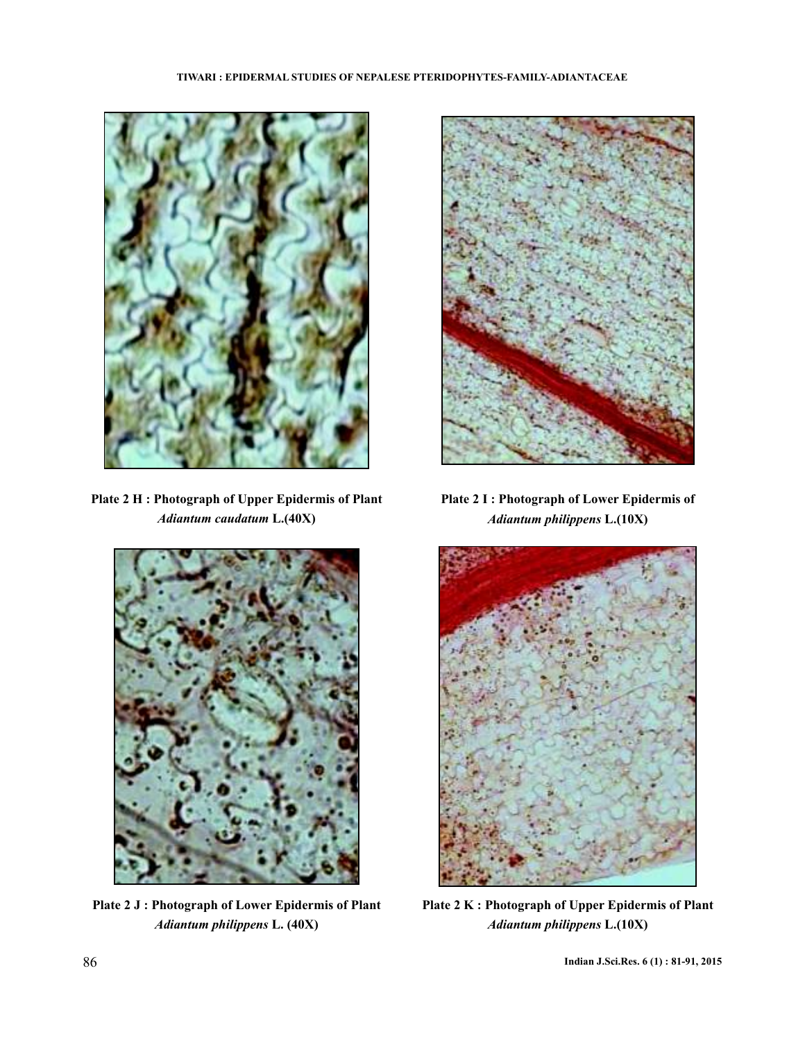

**Plate 2 H : Photograph of Upper Epidermis of Plant** *Adiantum caudatum* **L.(40X)**



**Plate 2 J : Photograph of Lower Epidermis of Plant** *Adiantum philippens* **L. (40X)**



**Plate 2 I : Photograph of Lower Epidermis of** *Adiantum philippens* **L.(10X)**



**Plate 2 K : Photograph of Upper Epidermis of Plant** *Adiantum philippens* **L.(10X)**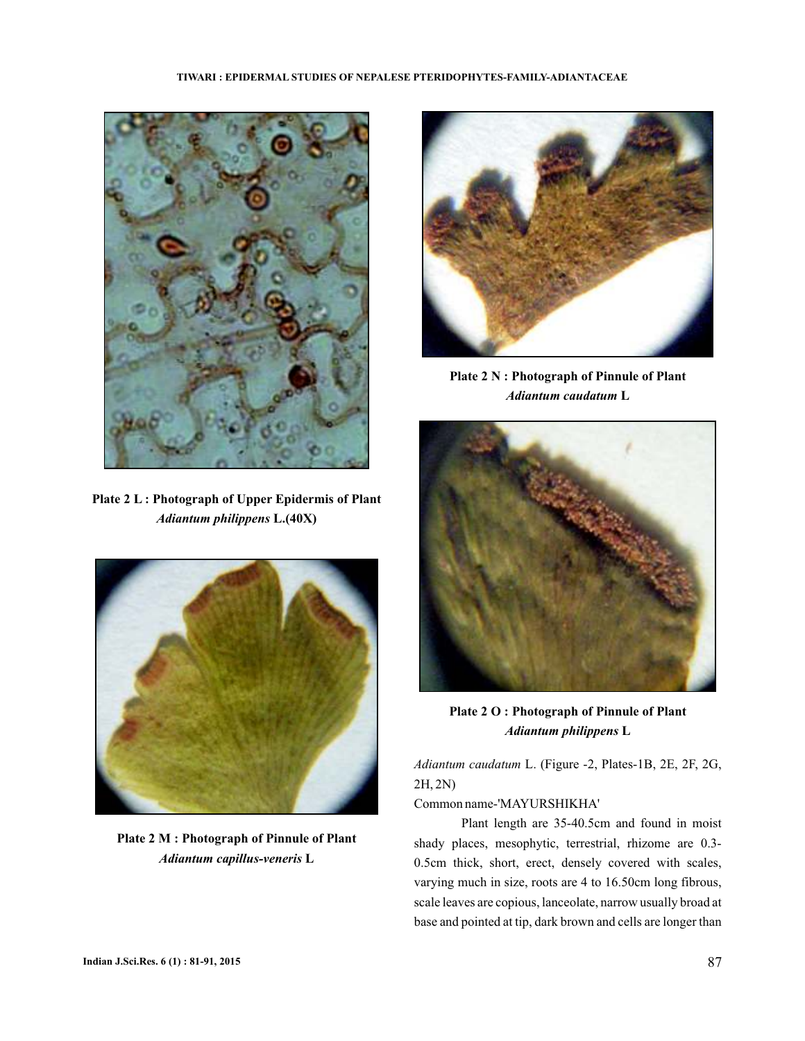# **TIWARI : EPIDERMAL STUDIES OF NEPALESE PTERIDOPHYTES-FAMILY-ADIANTACEAE**



**Plate 2 L : Photograph of Upper Epidermis of Plant** *Adiantum philippens* **L.(40X)**



**Plate 2 M : Photograph of Pinnule of Plant** *Adiantum capillus-veneris* **L**



**Plate 2 N : Photograph of Pinnule of Plant** *Adiantum caudatum* **L**



**Plate 2 O : Photograph of Pinnule of Plant** *Adiantum philippens* **L**

*Adiantum caudatum* L. (Figure -2, Plates-1B, 2E, 2F, 2G, 2H, 2N)

Common name-'MAYURSHIKHA'

Plant length are 35-40.5cm and found in moist shady places, mesophytic, terrestrial, rhizome are 0.3- 0.5cm thick, short, erect, densely covered with scales, varying much in size, roots are 4 to 16.50cm long fibrous, scale leaves are copious, lanceolate, narrow usually broad at base and pointed at tip, dark brown and cells are longer than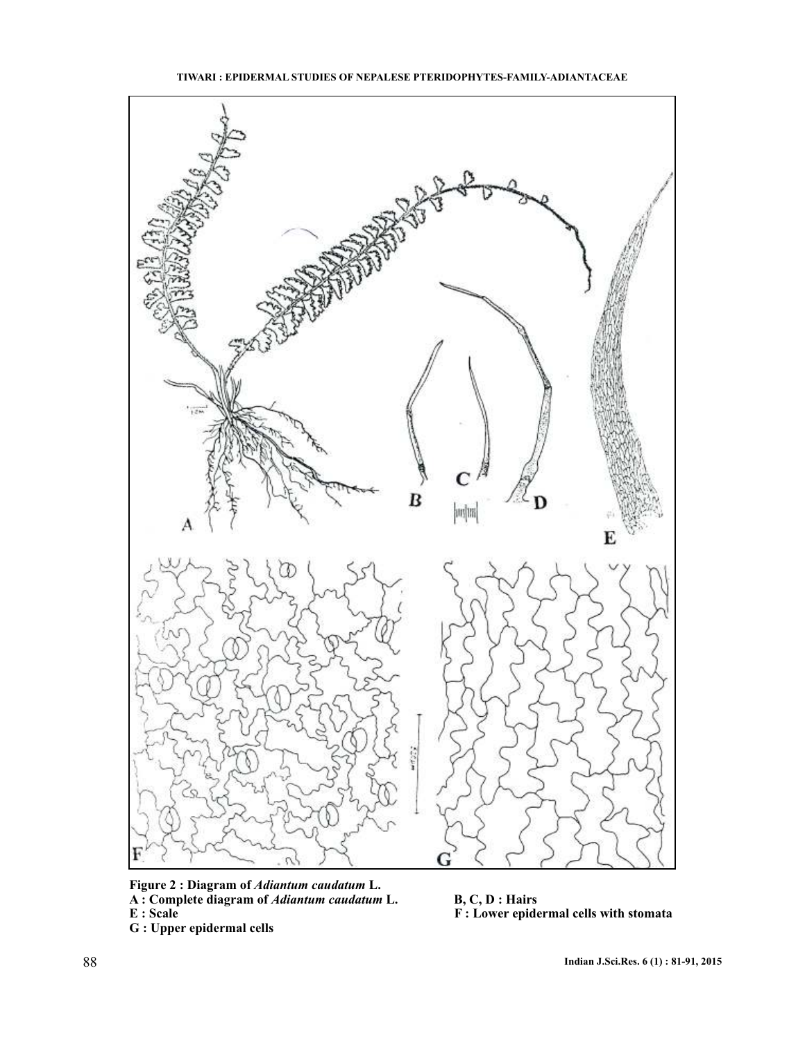



Figure 2 : Diagram of Adiantum caudatum L. A : Complete diagram of *Adiantum caudatum* L. B, C, D : Hairs **E** : Scale **E** : Scale **F** : Lower epidermal cells with stomata **G : Upper epidermal cells** *Adiantum caudatum Adiantum caudatum*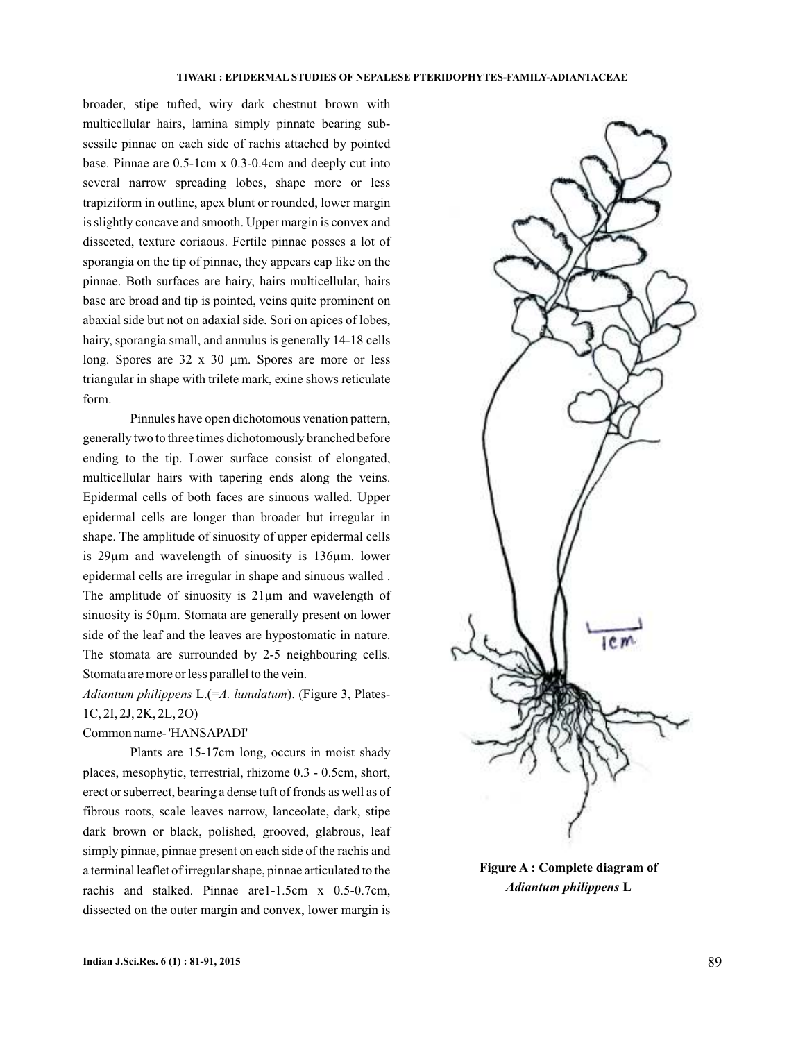broader, stipe tufted, wiry dark chestnut brown with multicellular hairs, lamina simply pinnate bearing subsessile pinnae on each side of rachis attached by pointed base. Pinnae are 0.5-1cm x 0.3-0.4cm and deeply cut into several narrow spreading lobes, shape more or less trapiziform in outline, apex blunt or rounded, lower margin is slightly concave and smooth. Upper margin is convex and dissected, texture coriaous. Fertile pinnae posses a lot of sporangia on the tip of pinnae, they appears cap like on the pinnae. Both surfaces are hairy, hairs multicellular, hairs base are broad and tip is pointed, veins quite prominent on abaxial side but not on adaxial side. Sori on apices of lobes, hairy, sporangia small, and annulus is generally 14-18 cells long. Spores are 32 x 30 µm. Spores are more or less triangular in shape with trilete mark, exine shows reticulate form.

Pinnules have open dichotomous venation pattern, generally two to three times dichotomously branched before ending to the tip. Lower surface consist of elongated, multicellular hairs with tapering ends along the veins. Epidermal cells of both faces are sinuous walled. Upper epidermal cells are longer than broader but irregular in shape. The amplitude of sinuosity of upper epidermal cells is 29µm and wavelength of sinuosity is 136µm. lower epidermal cells are irregular in shape and sinuous walled . The amplitude of sinuosity is 21µm and wavelength of sinuosity is 50µm. Stomata are generally present on lower side of the leaf and the leaves are hypostomatic in nature. The stomata are surrounded by 2-5 neighbouring cells. Stomata are more or less parallel to the vein.

Adiantum philippens L.(=A. lunulatum). (Figure 3, Plates-1C, 2I, 2J, 2K, 2L, 2O)

### Common name- 'HANSAPADI'

Plants are 15-17cm long, occurs in moist shady places, mesophytic, terrestrial, rhizome 0.3 - 0.5cm, short, erect or suberrect, bearing a dense tuft of fronds as well as of fibrous roots, scale leaves narrow, lanceolate, dark, stipe dark brown or black, polished, grooved, glabrous, leaf simply pinnae, pinnae present on each side of the rachis and a terminal leaflet of irregular shape, pinnae articulated to the rachis and stalked. Pinnae are1-1.5cm x 0.5-0.7cm, dissected on the outer margin and convex, lower margin is



**Figure A : Complete diagram of** *Adiantum philippens* **L**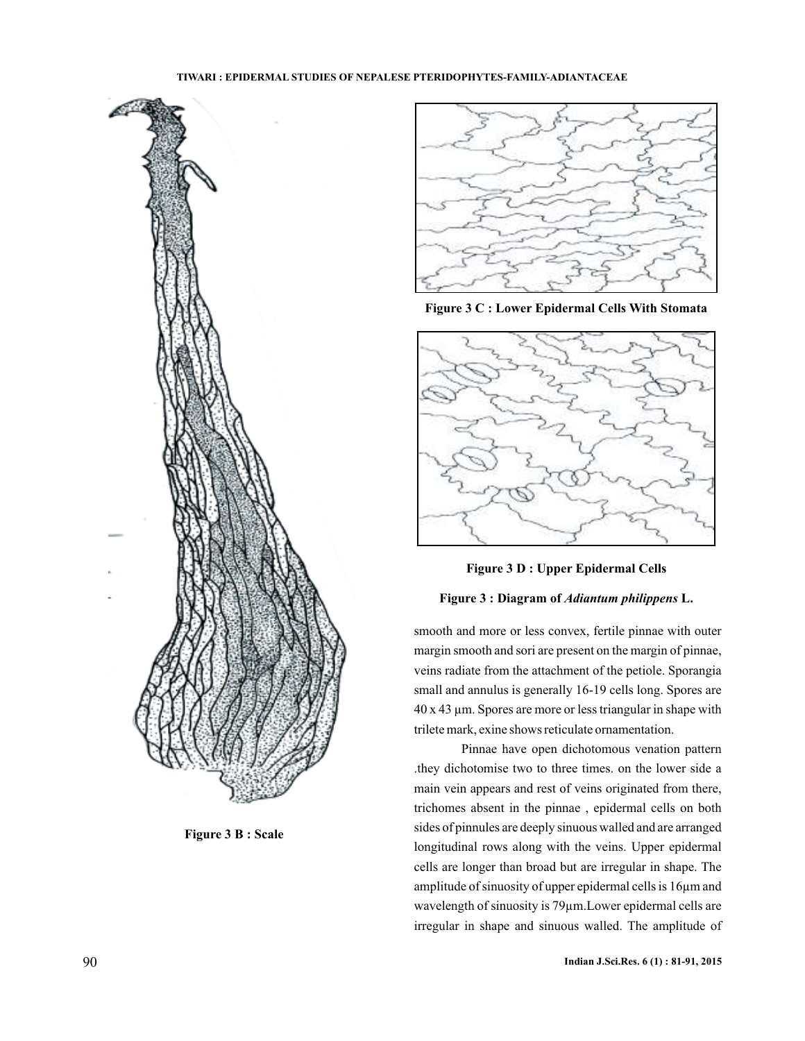

**Figure 3 B : Scale** 



**Figure : 3 C Lower Epidermal Cells With Stomata**





## Figure 3 : Diagram of *Adiantum philippens* L.

smooth and more or less convex, fertile pinnae with outer margin smooth and sori are present on the margin of pinnae, veins radiate from the attachment of the petiole. Sporangia small and annulus is generally 16-19 cells long. Spores are  $40 \times 43 \mu$ m. Spores are more or less triangular in shape with trilete mark, exine shows reticulate ornamentation.

Pinnae have open dichotomous venation pattern .they dichotomise two to three times. on the lower side a main vein appears and rest of veins originated from there, trichomes absent in the pinnae , epidermal cells on both sides of pinnules are deeply sinuous walled and are arranged longitudinal rows along with the veins. Upper epidermal cells are longer than broad but are irregular in shape. The amplitude of sinuosity of upper epidermal cells is 16µm and wavelength of sinuosity is 79µm.Lower epidermal cells are irregular in shape and sinuous walled. The amplitude of